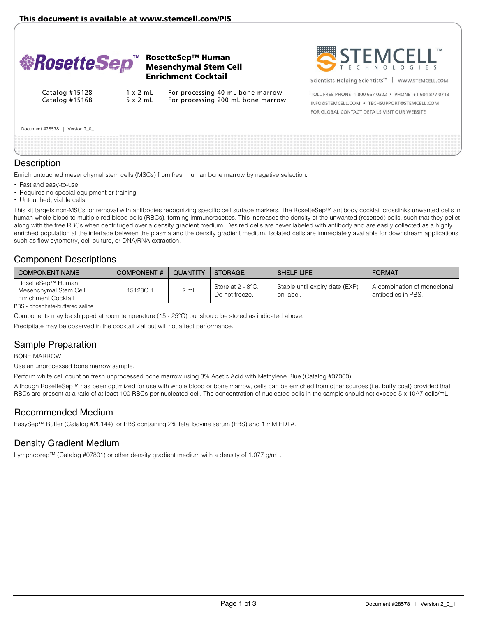

### RosetteSep™ Human Mesenchymal Stem Cell Enrichment Cocktail



Scientists Helping Scientists<sup>™</sup> | WWW.STEMCELL.COM

Catalog #15128 1 x 2 mL For processing 40 mL bone marrow Catalog #15168 5 x 2 mL For processing 200 mL bone marrow

TOLL FREE PHONE 1 800 667 0322 . PHONE +1 604 877 0713 INFO@STEMCELL.COM . TECHSUPPORT@STEMCELL.COM FOR GLOBAL CONTACT DETAILS VISIT OUR WEBSITE

#### Document #28578 | Version 2\_0\_1

### **Description**

Enrich untouched mesenchymal stem cells (MSCs) from fresh human bone marrow by negative selection.

- Fast and easy-to-use
- Requires no special equipment or training
- Untouched, viable cells

This kit targets non-MSCs for removal with antibodies recognizing specific cell surface markers. The RosetteSep™ antibody cocktail crosslinks unwanted cells in human whole blood to multiple red blood cells (RBCs), forming immunorosettes. This increases the density of the unwanted (rosetted) cells, such that they pellet along with the free RBCs when centrifuged over a density gradient medium. Desired cells are never labeled with antibody and are easily collected as a highly enriched population at the interface between the plasma and the density gradient medium. Isolated cells are immediately available for downstream applications such as flow cytometry, cell culture, or DNA/RNA extraction.

## Component Descriptions

| I COMPONENT NAME                                                  | <b>COMPONENT#</b> | QUANTITY | STORAGE                             | <b>SHELF LIFE</b>                           | <b>FORMAT</b>                                     |
|-------------------------------------------------------------------|-------------------|----------|-------------------------------------|---------------------------------------------|---------------------------------------------------|
| RosetteSep™ Human<br>Mesenchymal Stem Cell<br>Enrichment Cocktail | 15128C.1          | 2 mL     | Store at 2 - 8°C.<br>Do not freeze. | Stable until expiry date (EXP)<br>on label. | A combination of monoclonal<br>antibodies in PBS. |

PBS - phosphate-buffered saline

Components may be shipped at room temperature (15 - 25°C) but should be stored as indicated above.

Precipitate may be observed in the cocktail vial but will not affect performance.

# Sample Preparation

BONE MARROW

Use an unprocessed bone marrow sample.

Perform white cell count on fresh unprocessed bone marrow using 3% Acetic Acid with Methylene Blue (Catalog #07060).

Although RosetteSep™ has been optimized for use with whole blood or bone marrow, cells can be enriched from other sources (i.e. buffy coat) provided that RBCs are present at a ratio of at least 100 RBCs per nucleated cell. The concentration of nucleated cells in the sample should not exceed 5 x 10^7 cells/mL.

### Recommended Medium

EasySep™ Buffer (Catalog #20144) or PBS containing 2% fetal bovine serum (FBS) and 1 mM EDTA.

# Density Gradient Medium

Lymphoprep™ (Catalog #07801) or other density gradient medium with a density of 1.077 g/mL.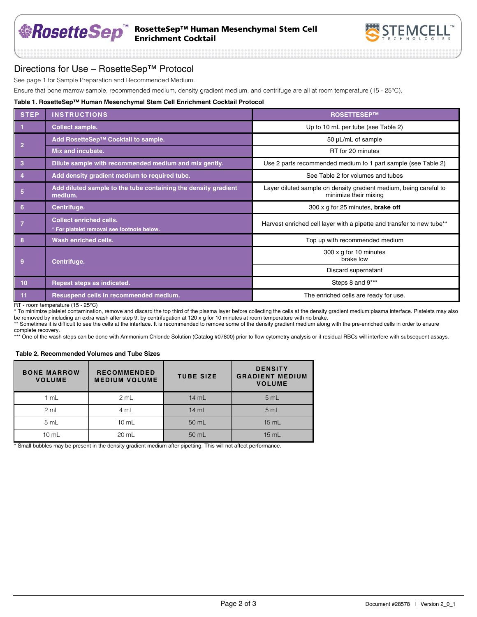## RosetteSep™ Human Mesenchymal Stem Cell Enrichment Cocktail



## Directions for Use – RosetteSep™ Protocol

See page 1 for Sample Preparation and Recommended Medium.

Ensure that bone marrow sample, recommended medium, density gradient medium, and centrifuge are all at room temperature (15 - 25°C).

#### **Table 1. RosetteSep™ Human Mesenchymal Stem Cell Enrichment Cocktail Protocol**

| <b>STEP</b>      | <b>INSTRUCTIONS</b>                                                          | <b>ROSETTESEP™</b>                                                                         |  |
|------------------|------------------------------------------------------------------------------|--------------------------------------------------------------------------------------------|--|
|                  | Collect sample.                                                              | Up to 10 mL per tube (see Table 2)                                                         |  |
| $\overline{2}$   | Add RosetteSep™ Cocktail to sample.                                          | 50 µL/mL of sample                                                                         |  |
|                  | Mix and incubate.                                                            | RT for 20 minutes                                                                          |  |
| 3                | Dilute sample with recommended medium and mix gently.                        | Use 2 parts recommended medium to 1 part sample (see Table 2)                              |  |
| $\overline{4}$   | Add density gradient medium to required tube.                                | See Table 2 for volumes and tubes                                                          |  |
| 5                | Add diluted sample to the tube containing the density gradient<br>medium.    | Layer diluted sample on density gradient medium, being careful to<br>minimize their mixing |  |
| 6                | Centrifuge.                                                                  | 300 x g for 25 minutes, <b>brake off</b>                                                   |  |
|                  | <b>Collect enriched cells.</b><br>* For platelet removal see footnote below. | Harvest enriched cell layer with a pipette and transfer to new tube**                      |  |
| 8                | Wash enriched cells.                                                         | Top up with recommended medium                                                             |  |
| Centrifuge.<br>9 |                                                                              | 300 x g for 10 minutes<br>brake low                                                        |  |
|                  |                                                                              | Discard supernatant                                                                        |  |
| 10 <sup>1</sup>  | Repeat steps as indicated.                                                   | Steps 8 and 9***                                                                           |  |
| 11               | Resuspend cells in recommended medium.                                       | The enriched cells are ready for use.                                                      |  |

RT - room temperature (15 - 25°C)

\* To minimize platelet contamination, remove and discard the top third of the plasma layer before collecting the cells at the density gradient medium:plasma interface. Platelets may also be removed by including an extra wash after step 9, by centrifugation at 120 x g for 10 minutes at room temperature with no brake.

\*\* Sometimes it is difficult to see the cells at the interface. It is recommended to remove some of the density gradient medium along with the pre-enriched cells in order to ensure complete recovery.

\*\*\* One of the wash steps can be done with Ammonium Chloride Solution (Catalog #07800) prior to flow cytometry analysis or if residual RBCs will interfere with subsequent assays.

#### **Table 2. Recommended Volumes and Tube Sizes**

| <b>BONE MARROW</b><br><b>VOLUME</b> | <b>RECOMMENDED</b><br><b>MEDIUM VOLUME</b> | <b>TUBE SIZE</b> | <b>DENSITY</b><br><b>GRADIENT MEDIUM</b><br><b>VOLUME</b> |
|-------------------------------------|--------------------------------------------|------------------|-----------------------------------------------------------|
| 1 mL                                | 2 mL                                       | 14 mL            | 5 mL                                                      |
| 2 mL                                | 4 mL                                       | 14 mL            | 5 mL                                                      |
| 5 mL                                | $10$ mL                                    | 50 mL            | $15$ mL                                                   |
| $10 \text{ mL}$                     | 20 mL                                      | 50 mL            | $15$ mL                                                   |

\* Small bubbles may be present in the density gradient medium after pipetting. This will not affect performance.